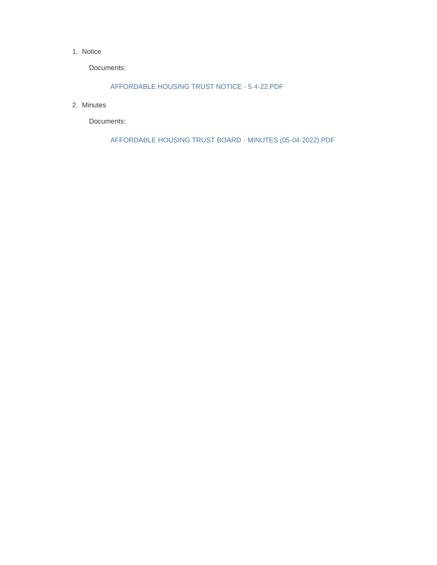#### 1. Notice

Documents:

AFFORDABLE HOUSING TRUST NOTICE - 5-4-22.PDF

2. Minutes

Documents:

AFFORDABLE HOUSING TRUST BOARD - MINUTES (05-04-2022).PDF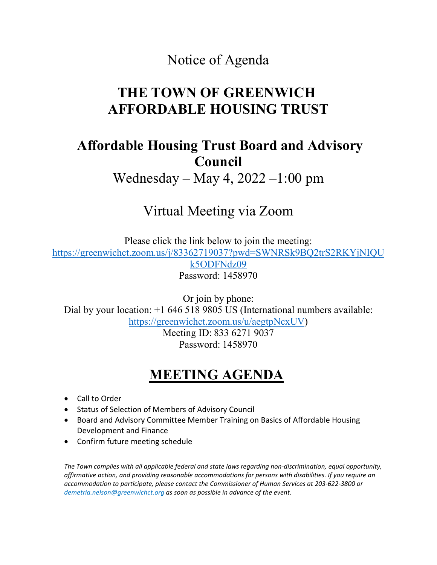#### Notice of Agenda

# **THE TOWN OF GREENWICH AFFORDABLE HOUSING TRUST**

### **Affordable Housing Trust Board and Advisory Council**

Wednesday – May 4, 2022 –1:00 pm

# Virtual Meeting via Zoom

Please click the link below to join the meeting: [https://greenwichct.zoom.us/j/83362719037?pwd=SWNRSk9BQ2trS2RKYjNIQU](https://greenwichct.zoom.us/j/83362719037?pwd=SWNRSk9BQ2trS2RKYjNIQUk5ODFNdz09) [k5ODFNdz09](https://greenwichct.zoom.us/j/83362719037?pwd=SWNRSk9BQ2trS2RKYjNIQUk5ODFNdz09) Password: 1458970

Or join by phone: Dial by your location: +1 646 518 9805 US (International numbers available: [https://greenwichct.zoom.us/u/aegtpNcxUV\)](https://greenwichct.zoom.us/u/aegtpNcxUV)

> Meeting ID: 833 6271 9037 Password: 1458970

# **MEETING AGENDA**

- Call to Order
- Status of Selection of Members of Advisory Council
- Board and Advisory Committee Member Training on Basics of Affordable Housing Development and Finance
- Confirm future meeting schedule

*The Town complies with all applicable federal and state laws regarding non-discrimination, equal opportunity, affirmative action, and providing reasonable accommodations for persons with disabilities. If you require an accommodation to participate, please contact the Commissioner of Human Services at 203-622-3800 or demetria.nelson@greenwichct.org as soon as possible in advance of the event.*